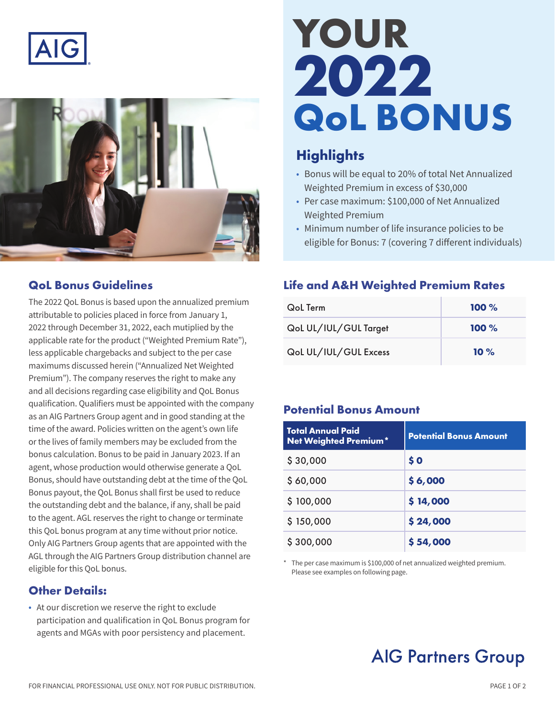



#### **QoL Bonus Guidelines**

The 2022 QoL Bonus is based upon the annualized premium attributable to policies placed in force from January 1, 2022 through December 31, 2022, each mutiplied by the applicable rate for the product ("Weighted Premium Rate"), less applicable chargebacks and subject to the per case maximums discussed herein ("Annualized Net Weighted Premium"). The company reserves the right to make any and all decisions regarding case eligibility and QoL Bonus qualification. Qualifiers must be appointed with the company as an AIG Partners Group agent and in good standing at the time of the award. Policies written on the agent's own life or the lives of family members may be excluded from the bonus calculation. Bonus to be paid in January 2023. If an agent, whose production would otherwise generate a QoL Bonus, should have outstanding debt at the time of the QoL Bonus payout, the QoL Bonus shall first be used to reduce the outstanding debt and the balance, if any, shall be paid to the agent. AGL reserves the right to change or terminate this QoL bonus program at any time without prior notice. Only AIG Partners Group agents that are appointed with the AGL through the AIG Partners Group distribution channel are eligible for this QoL bonus.

#### **Other Details:**

• At our discretion we reserve the right to exclude participation and qualification in QoL Bonus program for agents and MGAs with poor persistency and placement.

# **YOUR 2022 QoL BONUS**

### **Highlights**

- Bonus will be equal to 20% of total Net Annualized Weighted Premium in excess of \$30,000
- Per case maximum: \$100,000 of Net Annualized Weighted Premium
- Minimum number of life insurance policies to be eligible for Bonus: 7 (covering 7 different individuals)

#### **Life and A&H Weighted Premium Rates**

| <b>QoL</b> Term       | $100 \%$ |
|-----------------------|----------|
| QoL UL/IUL/GUL Target | $100 \%$ |
| QoL UL/IUL/GUL Excess | $10 \%$  |

#### **Potential Bonus Amount**

| <b>Total Annual Paid</b><br>Net Weighted Premium* | <b>Potential Bonus Amount</b> |
|---------------------------------------------------|-------------------------------|
| \$30,000                                          | \$0                           |
| \$60,000                                          | \$6,000                       |
| \$100,000                                         | \$14,000                      |
| \$150,000                                         | \$24,000                      |
| \$300,000                                         | \$54,000                      |

The per case maximum is \$100,000 of net annualized weighted premium. Please see examples on following page.

## **AIG Partners Group**